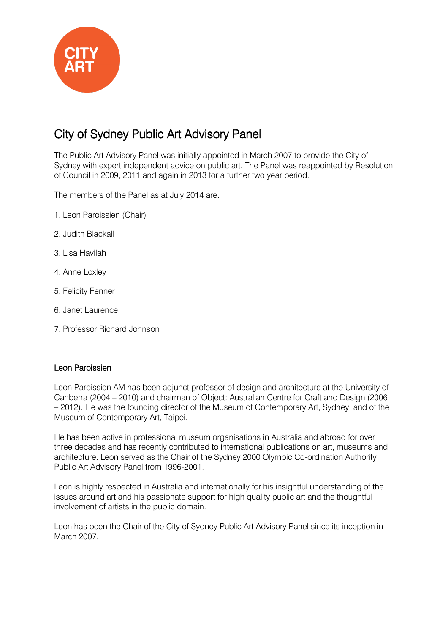

# City of Sydney Public Art Advisory Panel

The Public Art Advisory Panel was initially appointed in March 2007 to provide the City of Sydney with expert independent advice on public art. The Panel was reappointed by Resolution of Council in 2009, 2011 and again in 2013 for a further two year period.

The members of the Panel as at July 2014 are:

- 1. Leon Paroissien (Chair)
- 2. Judith Blackall
- 3. Lisa Havilah
- 4. Anne Loxley
- 5. Felicity Fenner
- 6. Janet Laurence
- 7. Professor Richard Johnson

#### Leon Paroissien

Leon Paroissien AM has been adjunct professor of design and architecture at the University of Canberra (2004 – 2010) and chairman of Object: Australian Centre for Craft and Design (2006 – 2012). He was the founding director of the Museum of Contemporary Art, Sydney, and of the Museum of Contemporary Art, Taipei.

He has been active in professional museum organisations in Australia and abroad for over three decades and has recently contributed to international publications on art, museums and architecture. Leon served as the Chair of the Sydney 2000 Olympic Co-ordination Authority Public Art Advisory Panel from 1996-2001.

Leon is highly respected in Australia and internationally for his insightful understanding of the issues around art and his passionate support for high quality public art and the thoughtful involvement of artists in the public domain.

Leon has been the Chair of the City of Sydney Public Art Advisory Panel since its inception in March 2007.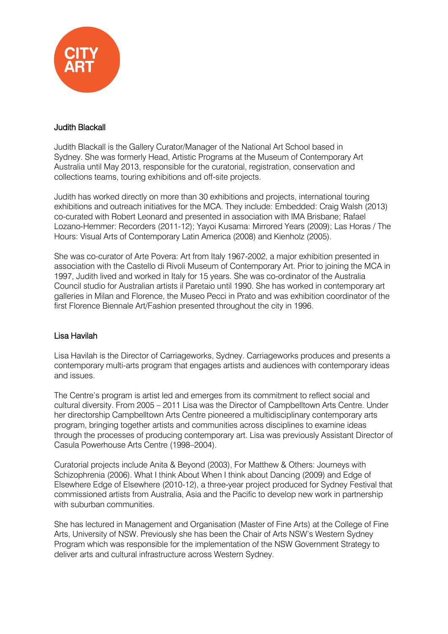

## Judith Blackall

Judith Blackall is the Gallery Curator/Manager of the National Art School based in Sydney. She was formerly Head, Artistic Programs at the Museum of Contemporary Art Australia until May 2013, responsible for the curatorial, registration, conservation and collections teams, touring exhibitions and off-site projects.

Judith has worked directly on more than 30 exhibitions and projects, international touring exhibitions and outreach initiatives for the MCA. They include: Embedded: Craig Walsh (2013) co-curated with Robert Leonard and presented in association with IMA Brisbane; Rafael Lozano-Hemmer: Recorders (2011-12); Yayoi Kusama: Mirrored Years (2009); Las Horas / The Hours: Visual Arts of Contemporary Latin America (2008) and Kienholz (2005).

She was co-curator of Arte Povera: Art from Italy 1967-2002, a major exhibition presented in association with the Castello di Rivoli Museum of Contemporary Art. Prior to joining the MCA in 1997, Judith lived and worked in Italy for 15 years. She was co-ordinator of the Australia Council studio for Australian artists il Paretaio until 1990. She has worked in contemporary art galleries in Milan and Florence, the Museo Pecci in Prato and was exhibition coordinator of the first Florence Biennale Art/Fashion presented throughout the city in 1996.

## Lisa Havilah

Lisa Havilah is the Director of Carriageworks, Sydney. Carriageworks produces and presents a contemporary multi-arts program that engages artists and audiences with contemporary ideas and issues.

The Centre's program is artist led and emerges from its commitment to reflect social and cultural diversity. From 2005 – 2011 Lisa was the Director of Campbelltown Arts Centre. Under her directorship Campbelltown Arts Centre pioneered a multidisciplinary contemporary arts program, bringing together artists and communities across disciplines to examine ideas through the processes of producing contemporary art. Lisa was previously Assistant Director of Casula Powerhouse Arts Centre (1998–2004).

Curatorial projects include Anita & Beyond (2003), For Matthew & Others: Journeys with Schizophrenia (2006). What I think About When I think about Dancing (2009) and Edge of Elsewhere Edge of Elsewhere (2010-12), a three-year project produced for Sydney Festival that commissioned artists from Australia, Asia and the Pacific to develop new work in partnership with suburban communities.

She has lectured in Management and Organisation (Master of Fine Arts) at the College of Fine Arts, University of NSW. Previously she has been the Chair of Arts NSW's Western Sydney Program which was responsible for the implementation of the NSW Government Strategy to deliver arts and cultural infrastructure across Western Sydney.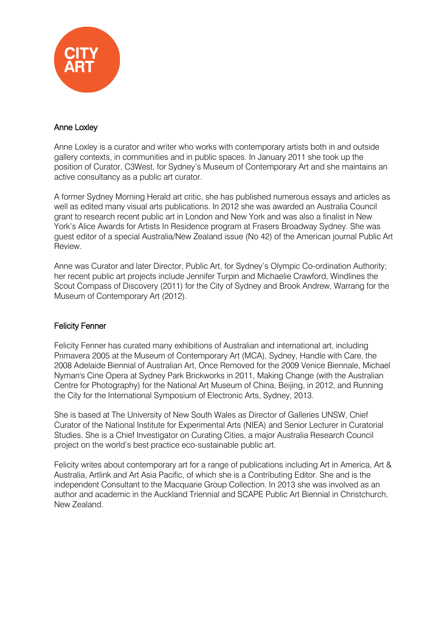

## Anne Loxley

Anne Loxley is a curator and writer who works with contemporary artists both in and outside gallery contexts, in communities and in public spaces. In January 2011 she took up the position of Curator, C3West, for Sydney's Museum of Contemporary Art and she maintains an active consultancy as a public art curator.

A former Sydney Morning Herald art critic, she has published numerous essays and articles as well as edited many visual arts publications. In 2012 she was awarded an Australia Council grant to research recent public art in London and New York and was also a finalist in New York's Alice Awards for Artists In Residence program at Frasers Broadway Sydney. She was guest editor of a special Australia/New Zealand issue (No 42) of the American journal Public Art Review.

Anne was Curator and later Director, Public Art, for Sydney's Olympic Co-ordination Authority; her recent public art projects include Jennifer Turpin and Michaelie Crawford, Windlines the Scout Compass of Discovery (2011) for the City of Sydney and Brook Andrew, Warrang for the Museum of Contemporary Art (2012).

## Felicity Fenner

Felicity Fenner has curated many exhibitions of Australian and international art, including Primavera 2005 at the Museum of Contemporary Art (MCA), Sydney, Handle with Care, the 2008 Adelaide Biennial of Australian Art, Once Removed for the 2009 Venice Biennale, Michael Nyman's Cine Opera at Sydney Park Brickworks in 2011, Making Change (with the Australian Centre for Photography) for the National Art Museum of China, Beijing, in 2012, and Running the City for the International Symposium of Electronic Arts, Sydney, 2013.

She is based at The University of New South Wales as Director of Galleries UNSW, Chief Curator of the National Institute for Experimental Arts (NIEA) and Senior Lecturer in Curatorial Studies. She is a Chief Investigator on Curating Cities, a major Australia Research Council project on the world's best practice eco-sustainable public art.

Felicity writes about contemporary art for a range of publications including Art in America, Art & Australia, Artlink and Art Asia Pacific, of which she is a Contributing Editor. She and is the independent Consultant to the Macquarie Group Collection. In 2013 she was involved as an author and academic in the Auckland Triennial and SCAPE Public Art Biennial in Christchurch, New Zealand.